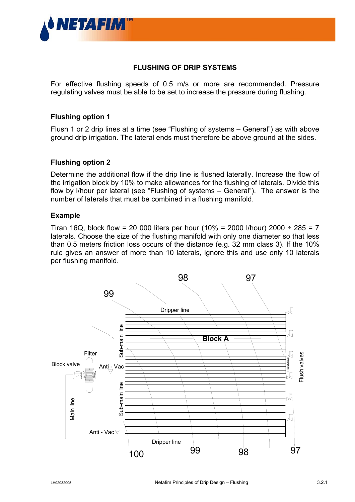

# **FLUSHING OF DRIP SYSTEMS**

For effective flushing speeds of 0.5 m/s or more are recommended. Pressure regulating valves must be able to be set to increase the pressure during flushing.

### **Flushing option 1**

Flush 1 or 2 drip lines at a time (see "Flushing of systems – General") as with above ground drip irrigation. The lateral ends must therefore be above ground at the sides.

### **Flushing option 2**

Determine the additional flow if the drip line is flushed laterally. Increase the flow of the irrigation block by 10% to make allowances for the flushing of laterals. Divide this flow by l/hour per lateral (see "Flushing of systems – General"). The answer is the number of laterals that must be combined in a flushing manifold.

### **Example**

Tiran 16Q, block flow = 20 000 liters per hour (10% = 2000 l/hour) 2000 ÷ 285 = 7 laterals. Choose the size of the flushing manifold with only one diameter so that less than 0.5 meters friction loss occurs of the distance (e.g. 32 mm class 3). If the 10% rule gives an answer of more than 10 laterals, ignore this and use only 10 laterals per flushing manifold.